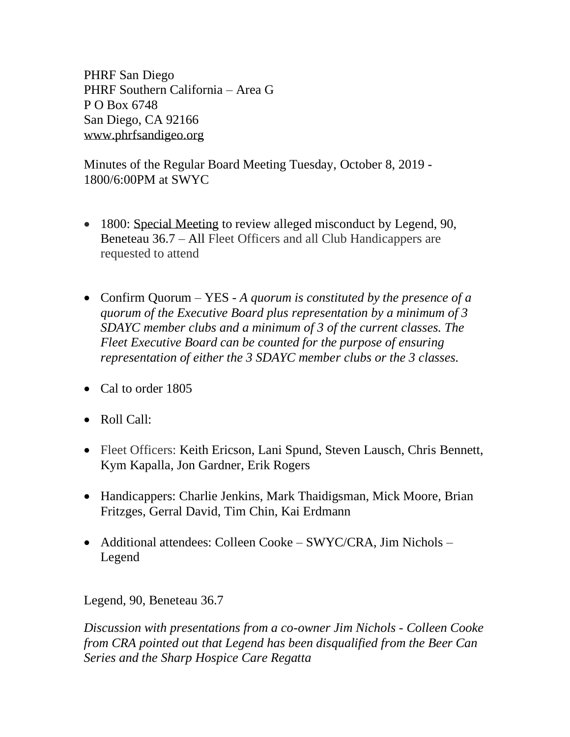PHRF San Diego PHRF Southern California – Area G P O Box 6748 San Diego, CA 92166 [www.phrfsandigeo.org](http://www.phrfsandigeo.org/)

Minutes of the Regular Board Meeting Tuesday, October 8, 2019 - 1800/6:00PM at SWYC

- 1800: Special Meeting to review alleged misconduct by Legend, 90, Beneteau 36.7 – All Fleet Officers and all Club Handicappers are requested to attend
- Confirm Quorum YES *A quorum is constituted by the presence of a quorum of the Executive Board plus representation by a minimum of 3 SDAYC member clubs and a minimum of 3 of the current classes. The Fleet Executive Board can be counted for the purpose of ensuring representation of either the 3 SDAYC member clubs or the 3 classes.*
- Cal to order 1805
- Roll Call:
- Fleet Officers: Keith Ericson, Lani Spund, Steven Lausch, Chris Bennett, Kym Kapalla, Jon Gardner, Erik Rogers
- Handicappers: Charlie Jenkins, Mark Thaidigsman, Mick Moore, Brian Fritzges, Gerral David, Tim Chin, Kai Erdmann
- Additional attendees: Colleen Cooke SWYC/CRA, Jim Nichols Legend

Legend, 90, Beneteau 36.7

*Discussion with presentations from a co-owner Jim Nichols - Colleen Cooke from CRA pointed out that Legend has been disqualified from the Beer Can Series and the Sharp Hospice Care Regatta*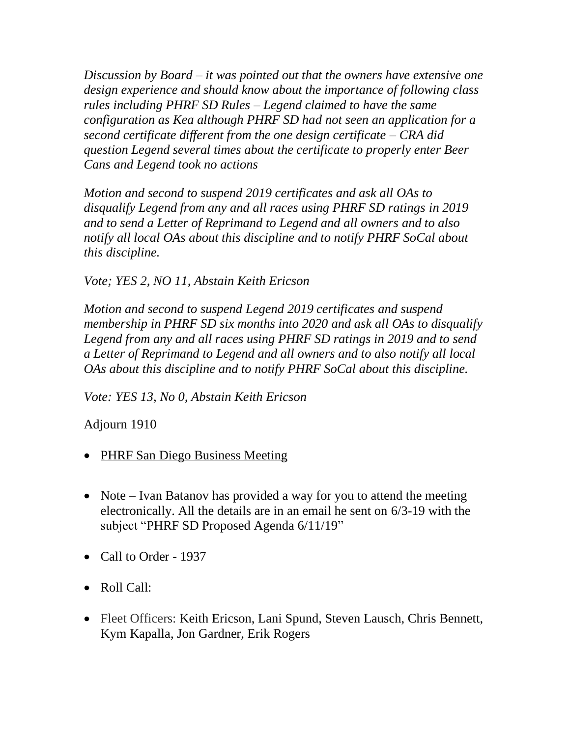*Discussion by Board – it was pointed out that the owners have extensive one design experience and should know about the importance of following class rules including PHRF SD Rules – Legend claimed to have the same configuration as Kea although PHRF SD had not seen an application for a second certificate different from the one design certificate – CRA did question Legend several times about the certificate to properly enter Beer Cans and Legend took no actions* 

*Motion and second to suspend 2019 certificates and ask all OAs to disqualify Legend from any and all races using PHRF SD ratings in 2019 and to send a Letter of Reprimand to Legend and all owners and to also notify all local OAs about this discipline and to notify PHRF SoCal about this discipline.* 

*Vote; YES 2, NO 11, Abstain Keith Ericson*

*Motion and second to suspend Legend 2019 certificates and suspend membership in PHRF SD six months into 2020 and ask all OAs to disqualify Legend from any and all races using PHRF SD ratings in 2019 and to send a Letter of Reprimand to Legend and all owners and to also notify all local OAs about this discipline and to notify PHRF SoCal about this discipline.* 

*Vote: YES 13, No 0, Abstain Keith Ericson*

Adjourn 1910

- PHRF San Diego Business Meeting
- Note Ivan Batanov has provided a way for you to attend the meeting electronically. All the details are in an email he sent on 6/3-19 with the subject "PHRF SD Proposed Agenda 6/11/19"
- Call to Order 1937
- Roll Call:
- Fleet Officers: Keith Ericson, Lani Spund, Steven Lausch, Chris Bennett, Kym Kapalla, Jon Gardner, Erik Rogers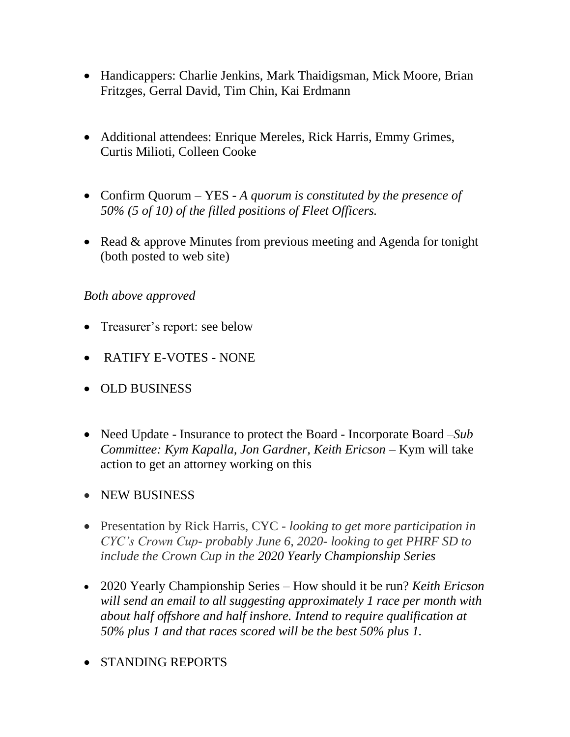- Handicappers: Charlie Jenkins, Mark Thaidigsman, Mick Moore, Brian Fritzges, Gerral David, Tim Chin, Kai Erdmann
- Additional attendees: Enrique Mereles, Rick Harris, Emmy Grimes, Curtis Milioti, Colleen Cooke
- Confirm Quorum YES *A quorum is constituted by the presence of 50% (5 of 10) of the filled positions of Fleet Officers.*
- Read & approve Minutes from previous meeting and Agenda for tonight (both posted to web site)

## *Both above approved*

- Treasurer's report: see below
- RATIFY E-VOTES NONE
- OLD BUSINESS
- Need Update Insurance to protect the Board Incorporate Board –*Sub Committee: Kym Kapalla, Jon Gardner, Keith Ericson –* Kym will take action to get an attorney working on this
- NEW BUSINESS
- Presentation by Rick Harris, CYC *- looking to get more participation in CYC's Crown Cup- probably June 6, 2020- looking to get PHRF SD to include the Crown Cup in the 2020 Yearly Championship Series*
- 2020 Yearly Championship Series How should it be run? *Keith Ericson will send an email to all suggesting approximately 1 race per month with about half offshore and half inshore. Intend to require qualification at 50% plus 1 and that races scored will be the best 50% plus 1.*
- STANDING REPORTS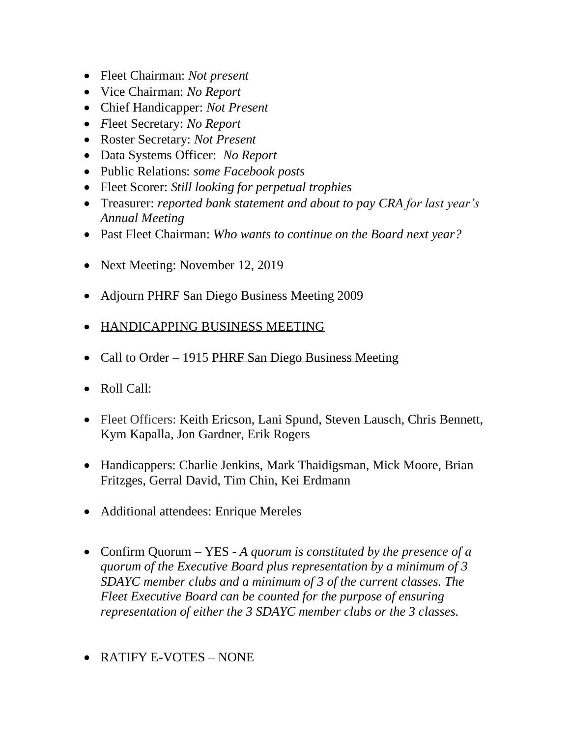- Fleet Chairman: *Not present*
- Vice Chairman: *No Report*
- Chief Handicapper: *Not Present*
- *F*leet Secretary: *No Report*
- Roster Secretary: *Not Present*
- Data Systems Officer: *No Report*
- Public Relations: *some Facebook posts*
- Fleet Scorer: *Still looking for perpetual trophies*
- Treasurer: *reported bank statement and about to pay CRA for last year's Annual Meeting*
- Past Fleet Chairman: *Who wants to continue on the Board next year?*
- Next Meeting: November 12, 2019
- Adjourn PHRF San Diego Business Meeting 2009
- HANDICAPPING BUSINESS MEETING
- Call to Order 1915 PHRF San Diego Business Meeting
- Roll Call:
- Fleet Officers: Keith Ericson, Lani Spund, Steven Lausch, Chris Bennett, Kym Kapalla, Jon Gardner, Erik Rogers
- Handicappers: Charlie Jenkins, Mark Thaidigsman, Mick Moore, Brian Fritzges, Gerral David, Tim Chin, Kei Erdmann
- Additional attendees: Enrique Mereles
- Confirm Quorum YES *A quorum is constituted by the presence of a quorum of the Executive Board plus representation by a minimum of 3 SDAYC member clubs and a minimum of 3 of the current classes. The Fleet Executive Board can be counted for the purpose of ensuring representation of either the 3 SDAYC member clubs or the 3 classes.*
- RATIFY E-VOTES NONE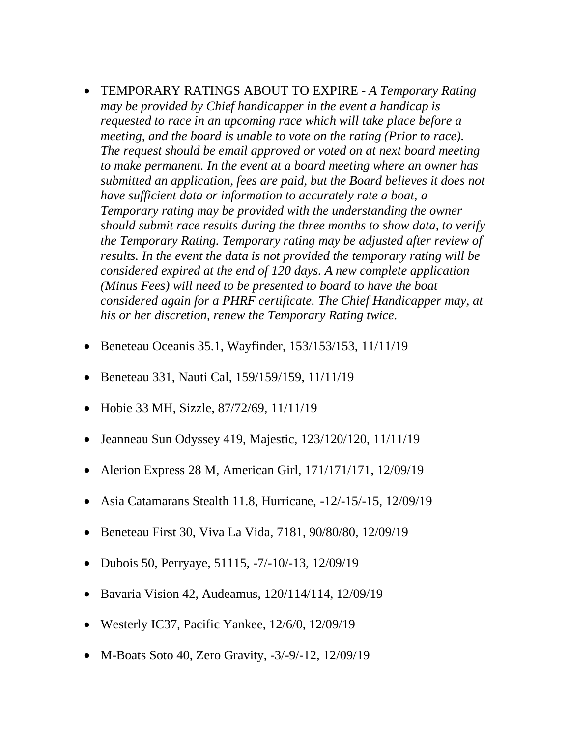- TEMPORARY RATINGS ABOUT TO EXPIRE *A Temporary Rating may be provided by Chief handicapper in the event a handicap is requested to race in an upcoming race which will take place before a meeting, and the board is unable to vote on the rating (Prior to race). The request should be email approved or voted on at next board meeting to make permanent. In the event at a board meeting where an owner has submitted an application, fees are paid, but the Board believes it does not have sufficient data or information to accurately rate a boat, a Temporary rating may be provided with the understanding the owner should submit race results during the three months to show data, to verify the Temporary Rating. Temporary rating may be adjusted after review of results. In the event the data is not provided the temporary rating will be considered expired at the end of 120 days. A new complete application (Minus Fees) will need to be presented to board to have the boat considered again for a PHRF certificate. The Chief Handicapper may, at his or her discretion, renew the Temporary Rating twice.*
- Beneteau Oceanis 35.1, Wayfinder, 153/153/153, 11/11/19
- Beneteau 331, Nauti Cal, 159/159/159, 11/11/19
- Hobie 33 MH, Sizzle, 87/72/69, 11/11/19
- Jeanneau Sun Odyssey 419, Majestic, 123/120/120, 11/11/19
- Alerion Express 28 M, American Girl, 171/171/171, 12/09/19
- Asia Catamarans Stealth 11.8, Hurricane, -12/-15/-15, 12/09/19
- Beneteau First 30, Viva La Vida, 7181, 90/80/80, 12/09/19
- Dubois 50, Perryaye, 51115, -7/-10/-13, 12/09/19
- Bavaria Vision 42, Audeamus, 120/114/114, 12/09/19
- Westerly IC37, Pacific Yankee, 12/6/0, 12/09/19
- M-Boats Soto 40, Zero Gravity, -3/-9/-12, 12/09/19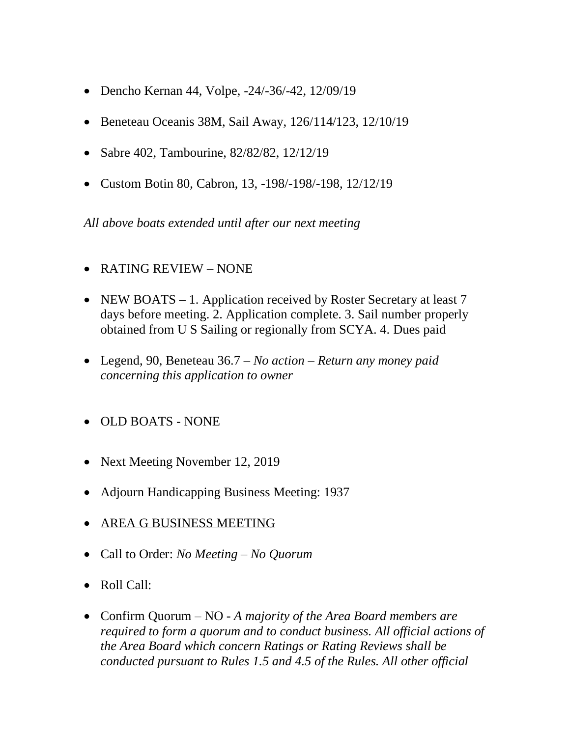- Dencho Kernan 44, Volpe, -24/-36/-42, 12/09/19
- Beneteau Oceanis 38M, Sail Away, 126/114/123, 12/10/19
- Sabre 402, Tambourine, 82/82/82, 12/12/19
- Custom Botin 80, Cabron, 13, -198/-198/-198, 12/12/19

*All above boats extended until after our next meeting*

- RATING REVIEW NONE
- NEW BOATS 1. Application received by Roster Secretary at least 7 days before meeting. 2. Application complete. 3. Sail number properly obtained from U S Sailing or regionally from SCYA. 4. Dues paid
- Legend, 90, Beneteau 36.7 *No action – Return any money paid concerning this application to owner*
- OLD BOATS NONE
- Next Meeting November 12, 2019
- Adjourn Handicapping Business Meeting: 1937
- AREA G BUSINESS MEETING
- Call to Order: *No Meeting – No Quorum*
- Roll Call:
- Confirm Quorum NO *A majority of the Area Board members are required to form a quorum and to conduct business. All official actions of the Area Board which concern Ratings or Rating Reviews shall be conducted pursuant to Rules 1.5 and 4.5 of the Rules. All other official*